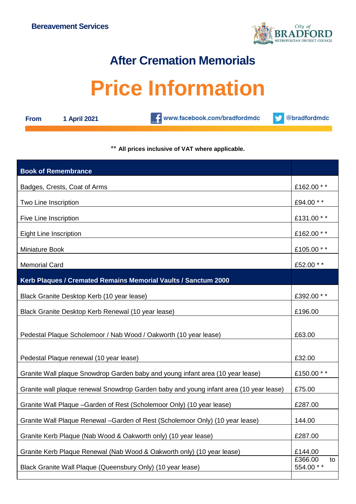

## **After Cremation Memorials**

## **Price Information**

| m<br>۰. |  |
|---------|--|
|         |  |

**From 1 April 2021**

www.facebook.com/bradfordmdc



## \*\* **All prices inclusive of VAT where applicable.**

| <b>Book of Remembrance</b>                                                             |                            |
|----------------------------------------------------------------------------------------|----------------------------|
| Badges, Crests, Coat of Arms                                                           | £162.00 **                 |
| Two Line Inscription                                                                   | £94.00 **                  |
| Five Line Inscription                                                                  | £131.00 **                 |
| <b>Eight Line Inscription</b>                                                          | £162.00 **                 |
| Miniature Book                                                                         | £105.00 **                 |
| <b>Memorial Card</b>                                                                   | £52.00 **                  |
| Kerb Plaques / Cremated Remains Memorial Vaults / Sanctum 2000                         |                            |
| Black Granite Desktop Kerb (10 year lease)                                             | £392.00 **                 |
| Black Granite Desktop Kerb Renewal (10 year lease)                                     | £196.00                    |
| Pedestal Plaque Scholemoor / Nab Wood / Oakworth (10 year lease)                       | £63.00                     |
| Pedestal Plaque renewal (10 year lease)                                                | £32.00                     |
| Granite Wall plaque Snowdrop Garden baby and young infant area (10 year lease)         | £150.00 **                 |
| Granite wall plaque renewal Snowdrop Garden baby and young infant area (10 year lease) | £75.00                     |
| Granite Wall Plaque - Garden of Rest (Scholemoor Only) (10 year lease)                 | £287.00                    |
| Granite Wall Plaque Renewal - Garden of Rest (Scholemoor Only) (10 year lease)         | 144.00                     |
| Granite Kerb Plaque (Nab Wood & Oakworth only) (10 year lease)                         | £287.00                    |
| Granite Kerb Plaque Renewal (Nab Wood & Oakworth only) (10 year lease)                 | £144.00                    |
| Black Granite Wall Plaque (Queensbury Only) (10 year lease)                            | £366.00<br>to<br>554.00 ** |